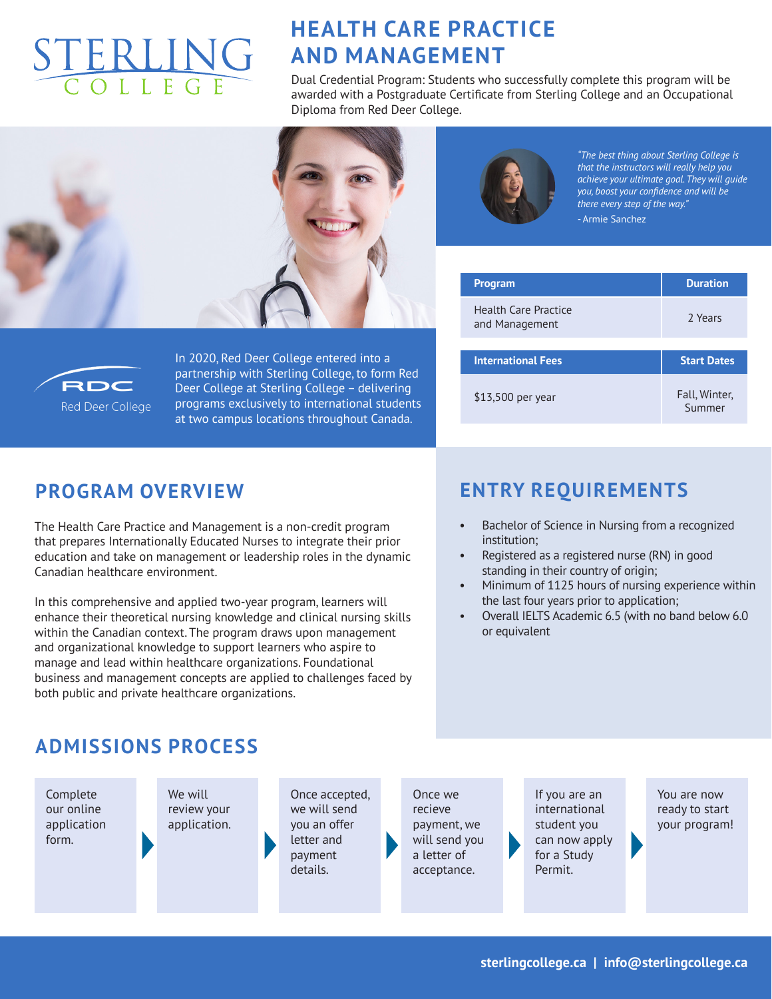# ERLING

# **HEALTH CARE PRACTICE AND MANAGEMENT**

Dual Credential Program: Students who successfully complete this program will be awarded with a Postgraduate Certificate from Sterling College and an Occupational Diploma from Red Deer College.





*"The best thing about Sterling College is that the instructors will really help you achieve your ultimate goal. They will guide you, boost your confidence and will be there every step of the way."* - Armie Sanchez

| <b>Program</b>                         | <b>Duration</b>    |  |
|----------------------------------------|--------------------|--|
| Health Care Practice<br>and Management | 2 Years            |  |
|                                        | <b>Start Dates</b> |  |
| <b>International Fees</b>              |                    |  |



In 2020, Red Deer College entered into a partnership with Sterling College, to form Red Deer College at Sterling College – delivering programs exclusively to international students at two campus locations throughout Canada.

#### **PROGRAM OVERVIEW**

The Health Care Practice and Management is a non-credit program that prepares Internationally Educated Nurses to integrate their prior education and take on management or leadership roles in the dynamic Canadian healthcare environment.

In this comprehensive and applied two-year program, learners will enhance their theoretical nursing knowledge and clinical nursing skills within the Canadian context. The program draws upon management and organizational knowledge to support learners who aspire to manage and lead within healthcare organizations. Foundational business and management concepts are applied to challenges faced by both public and private healthcare organizations.

### **ENTRY REQUIREMENTS**

- Bachelor of Science in Nursing from a recognized institution;
- Registered as a registered nurse (RN) in good standing in their country of origin;
- Minimum of 1125 hours of nursing experience within the last four years prior to application;
- Overall IELTS Academic 6.5 (with no band below 6.0 or equivalent

#### **ADMISSIONS PROCESS**

Complete our online application form.

We will review your application. Once accepted, we will send you an offer letter and payment details.

Once we recieve payment, we will send you a letter of acceptance.

If you are an international student you can now apply for a Study Permit.

You are now ready to start your program!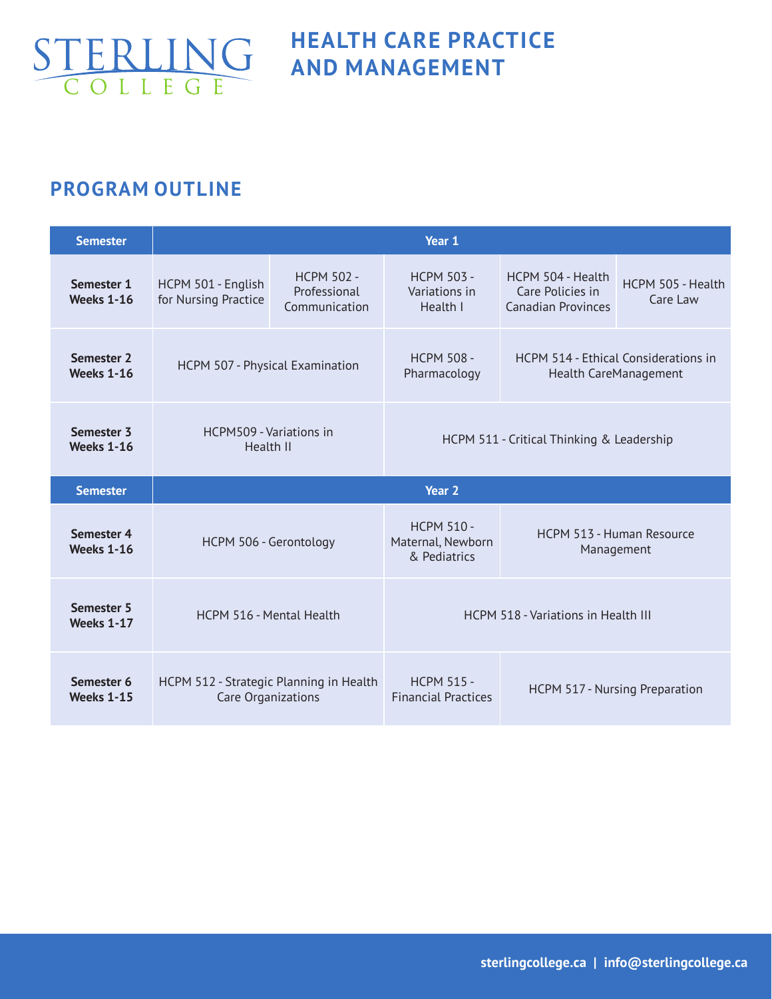

## **HEALTH CARE PRACTICE AND MANAGEMENT**

### **PROGRAM OUTLINE**

| <b>Semester</b>                 | Year 1                                     |                                                    |                                                        |                                                                    |                                                |  |
|---------------------------------|--------------------------------------------|----------------------------------------------------|--------------------------------------------------------|--------------------------------------------------------------------|------------------------------------------------|--|
| Semester 1<br><b>Weeks 1-16</b> | HCPM 501 - English<br>for Nursing Practice | <b>HCPM 502 -</b><br>Professional<br>Communication | <b>HCPM 503 -</b><br>Variations in<br>Health I         | HCPM 504 - Health<br>Care Policies in<br><b>Canadian Provinces</b> | HCPM 505 - Health<br>Care Law                  |  |
| Semester 2<br><b>Weeks 1-16</b> | HCPM 507 - Physical Examination            |                                                    | <b>HCPM 508 -</b><br>Pharmacology                      | HCPM 514 - Ethical Considerations in<br>Health CareManagement      |                                                |  |
| Semester 3<br><b>Weeks 1-16</b> | HCPM509 - Variations in<br>Health II       |                                                    | HCPM 511 - Critical Thinking & Leadership              |                                                                    |                                                |  |
|                                 | Year <sub>2</sub>                          |                                                    |                                                        |                                                                    |                                                |  |
| <b>Semester</b>                 |                                            |                                                    |                                                        |                                                                    |                                                |  |
| Semester 4<br><b>Weeks 1-16</b> | HCPM 506 - Gerontology                     |                                                    | <b>HCPM 510 -</b><br>Maternal, Newborn<br>& Pediatrics |                                                                    | <b>HCPM 513 - Human Resource</b><br>Management |  |
| Semester 5<br><b>Weeks 1-17</b> | HCPM 516 - Mental Health                   |                                                    |                                                        | <b>HCPM 518 - Variations in Health III</b>                         |                                                |  |